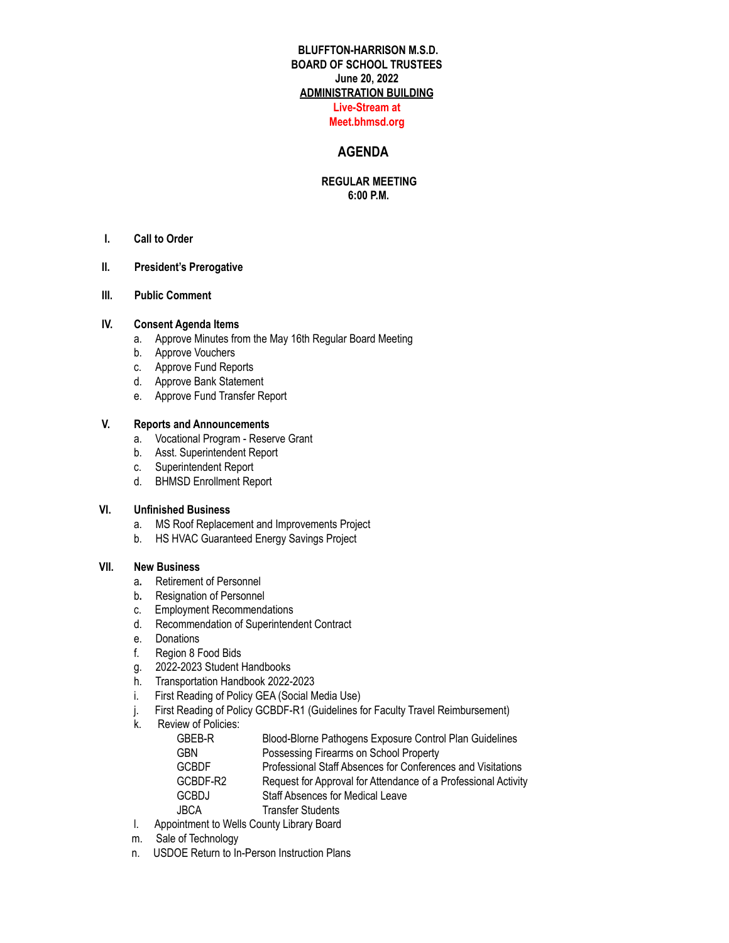# **BLUFFTON-HARRISON M.S.D. BOARD OF SCHOOL TRUSTEES June 20, 2022 ADMINISTRATION BUILDING Live-Stream at**

### **Meet.bhmsd.org**

### **AGENDA**

### **REGULAR MEETING 6:00 P.M.**

**I. Call to Order**

### **II. President's Prerogative**

**III. Public Comment**

### **IV. Consent Agenda Items**

- a. Approve Minutes from the May 16th Regular Board Meeting
- b. Approve Vouchers
- c. Approve Fund Reports
- d. Approve Bank Statement
- e. Approve Fund Transfer Report

### **V. Reports and Announcements**

- a. Vocational Program Reserve Grant
- b. Asst. Superintendent Report
- c. Superintendent Report
- d. BHMSD Enrollment Report

### **VI. Unfinished Business**

- a. MS Roof Replacement and Improvements Project
- b. HS HVAC Guaranteed Energy Savings Project

#### **VII. New Business**

- a**.** Retirement of Personnel
- b**.** Resignation of Personnel
- c. Employment Recommendations
- d. Recommendation of Superintendent Contract
- e. Donations
- f. Region 8 Food Bids
- g. 2022-2023 Student Handbooks
- h. Transportation Handbook 2022-2023
- i. First Reading of Policy GEA (Social Media Use)
- j. First Reading of Policy GCBDF-R1 (Guidelines for Faculty Travel Reimbursement)
- k. Review of Policies:

| GBEB-R       | Blood-Blorne Pathogens Exposure Control Plan Guidelines        |
|--------------|----------------------------------------------------------------|
| <b>GBN</b>   | Possessing Firearms on School Property                         |
| <b>GCBDF</b> | Professional Staff Absences for Conferences and Visitations    |
| GCBDF-R2     | Request for Approval for Attendance of a Professional Activity |
| <b>GCBDJ</b> | <b>Staff Absences for Medical Leave</b>                        |
| <b>JBCA</b>  | <b>Transfer Students</b>                                       |
|              |                                                                |

- l. Appointment to Wells County Library Board
- m. Sale of Technology
- n. USDOE Return to In-Person Instruction Plans